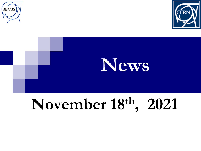





## **November 18th, 2021**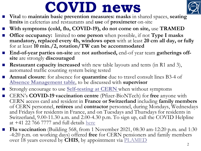## **COVID news**



- ◼ **Vital** to **maintain basic prevention measures: masks** in shared spaces, **seating limits** in cafeterias and restaurants and **use** of **proximeter** on-site
- **With symptoms (cold, flu, COVID-19), do not come on site, use TRAMED**
- ◼ **Office occupancy:** limited to **one person** when possible, if not **Type I masks**  mandatory, replaced every 4h, windows open with at least 20 cm all day, or fully for at least **10 min./2, rotation/TW can be accommodated**
- ◼ **End-of-year parties on-site** are **not authorised,** end-of year team **gatherings offsite** are strongly **discouraged**
- **Restaurant capacity increased** with new table layouts and tents (in R1 and 3), automated traffic counting system being tested
- **Annual closure:** for absence for **quarantine** due to travel consult lines B3-4 of **[Absence Management table](https://cds.cern.ch/record/2712801/files/AbsenceManagement-Table.pdf)**, to be discussed with **supervisor**
- Strongly encourage to use **Self-testing at CERN** when without symptoms
- ◼ CERN's **COVID-19 vaccination centre** (Pfizer-BioNTech) for **free** anyone with CERN access card and resident in **France or Switzerland** including **family members**  of CERN personnel, **retirees** and **contractor** personnel, during Mondays, Wednesdays and Fridays for residents in France, and on Tuesdays and Thursdays for residents in Switzerland, 9.00-11.30 a.m. and 2.00-4.30 p.m. To sign up, call the COVID Helpline at +41 22 766 7777 and full details [here](https://hse.cern/content/covid-19-vaccination)
- Flu vaccination (Building 568, from 1 November 2021, 08:30 am-12:20 p.m. and 1:30 -4:20 p.m. on working days) offered **free** for CERN pensioners and family members over 18 years covered by **CHIS**, by appointment via [PLAMED](https://plamed.web.cern.ch/)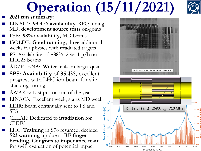## **Operation (15/11/2021)**



- ◼ **2021 run summary:**
- ◼ LINAC4: **99.3 % availability**, RFQ tuning MD, **development source tests** on-going
- PSB: 98% availability, MD beams
- ◼ ISOLDE: **Good running,** three additional weeks for physics with irradiated targets
- ◼ PS: Availability of **~88%**, 2.9e11 p/b on LHC25 beams
- ◼ AD/ELENA: **Water leak** on target quad
- ◼ **SPS: Availability** of **85.4%,** excellent progress with LHC ion beam for slipstacking tuning
- AWAKE: Last proton run of the year
- LINAC3: Excellent week, starts MD week
- LEIR: Beam continually sent to PS and SPS
- ◼ CLEAR: Dedicated to **irradiation** for **CHUV**
- LHC: Training in S78 resumed, decided **S23 warming up** due to **RF finger bending. Congrats** to **impedance team**